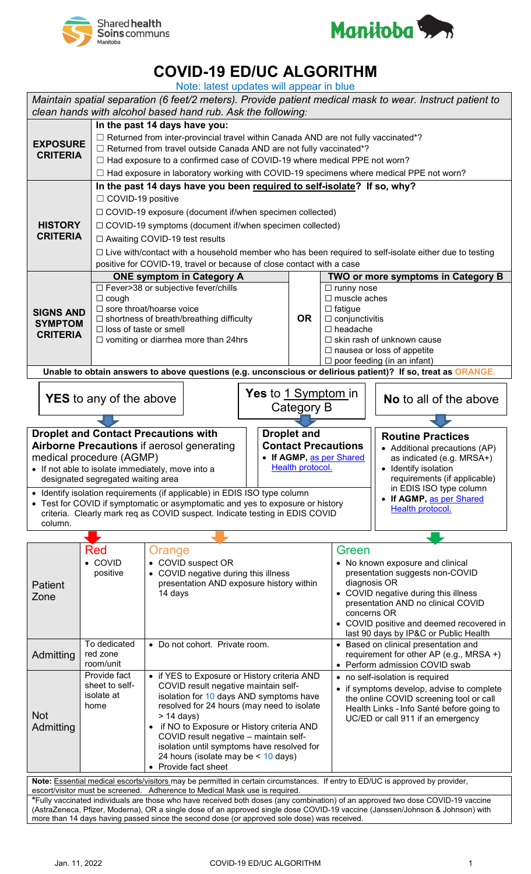



## **COVID-19 ED/UC ALGORITHM**

| Note: latest updates will appear in blue                                                                                                                                                                                                                         |                                                                       |                                                                                                                                                                                                                                                                                                                                                            |  |                    |                                                                                    |                                                                             |  |
|------------------------------------------------------------------------------------------------------------------------------------------------------------------------------------------------------------------------------------------------------------------|-----------------------------------------------------------------------|------------------------------------------------------------------------------------------------------------------------------------------------------------------------------------------------------------------------------------------------------------------------------------------------------------------------------------------------------------|--|--------------------|------------------------------------------------------------------------------------|-----------------------------------------------------------------------------|--|
| Maintain spatial separation (6 feet/2 meters). Provide patient medical mask to wear. Instruct patient to<br>clean hands with alcohol based hand rub. Ask the following:                                                                                          |                                                                       |                                                                                                                                                                                                                                                                                                                                                            |  |                    |                                                                                    |                                                                             |  |
| In the past 14 days have you:                                                                                                                                                                                                                                    |                                                                       |                                                                                                                                                                                                                                                                                                                                                            |  |                    |                                                                                    |                                                                             |  |
| <b>EXPOSURE</b><br><b>CRITERIA</b>                                                                                                                                                                                                                               |                                                                       | $\Box$ Returned from inter-provincial travel within Canada AND are not fully vaccinated*?<br>$\Box$ Returned from travel outside Canada AND are not fully vaccinated*?<br>$\Box$ Had exposure to a confirmed case of COVID-19 where medical PPE not worn?<br>$\Box$ Had exposure in laboratory working with COVID-19 specimens where medical PPE not worn? |  |                    |                                                                                    |                                                                             |  |
| In the past 14 days have you been required to self-isolate? If so, why?                                                                                                                                                                                          |                                                                       |                                                                                                                                                                                                                                                                                                                                                            |  |                    |                                                                                    |                                                                             |  |
|                                                                                                                                                                                                                                                                  |                                                                       | □ COVID-19 positive                                                                                                                                                                                                                                                                                                                                        |  |                    |                                                                                    |                                                                             |  |
|                                                                                                                                                                                                                                                                  |                                                                       | $\Box$ COVID-19 exposure (document if/when specimen collected)                                                                                                                                                                                                                                                                                             |  |                    |                                                                                    |                                                                             |  |
| <b>HISTORY</b>                                                                                                                                                                                                                                                   |                                                                       | □ COVID-19 symptoms (document if/when specimen collected)                                                                                                                                                                                                                                                                                                  |  |                    |                                                                                    |                                                                             |  |
| <b>CRITERIA</b>                                                                                                                                                                                                                                                  |                                                                       | □ Awaiting COVID-19 test results                                                                                                                                                                                                                                                                                                                           |  |                    |                                                                                    |                                                                             |  |
|                                                                                                                                                                                                                                                                  |                                                                       | $\Box$ Live with/contact with a household member who has been required to self-isolate either due to testing                                                                                                                                                                                                                                               |  |                    |                                                                                    |                                                                             |  |
|                                                                                                                                                                                                                                                                  |                                                                       | positive for COVID-19, travel or because of close contact with a case                                                                                                                                                                                                                                                                                      |  |                    |                                                                                    |                                                                             |  |
|                                                                                                                                                                                                                                                                  |                                                                       | <b>ONE symptom in Category A</b>                                                                                                                                                                                                                                                                                                                           |  |                    |                                                                                    | TWO or more symptoms in Category B                                          |  |
|                                                                                                                                                                                                                                                                  |                                                                       | □ Fever>38 or subjective fever/chills                                                                                                                                                                                                                                                                                                                      |  |                    | $\Box$ runny nose                                                                  |                                                                             |  |
|                                                                                                                                                                                                                                                                  | $\Box$ cough                                                          |                                                                                                                                                                                                                                                                                                                                                            |  |                    |                                                                                    | $\Box$ muscle aches                                                         |  |
| <b>SIGNS AND</b>                                                                                                                                                                                                                                                 |                                                                       | $\Box$ sore throat/hoarse voice                                                                                                                                                                                                                                                                                                                            |  |                    |                                                                                    | $\Box$ fatigue                                                              |  |
| <b>SYMPTOM</b>                                                                                                                                                                                                                                                   |                                                                       | $\Box$ shortness of breath/breathing difficulty                                                                                                                                                                                                                                                                                                            |  |                    |                                                                                    | $\Box$ conjunctivitis                                                       |  |
| <b>CRITERIA</b>                                                                                                                                                                                                                                                  |                                                                       | $\Box$ loss of taste or smell<br>$\Box$ vomiting or diarrhea more than 24hrs                                                                                                                                                                                                                                                                               |  |                    | $\Box$ headache<br>$\Box$ skin rash of unknown cause                               |                                                                             |  |
|                                                                                                                                                                                                                                                                  |                                                                       |                                                                                                                                                                                                                                                                                                                                                            |  |                    |                                                                                    | $\Box$ nausea or loss of appetite                                           |  |
|                                                                                                                                                                                                                                                                  |                                                                       |                                                                                                                                                                                                                                                                                                                                                            |  |                    |                                                                                    | $\Box$ poor feeding (in an infant)                                          |  |
| Unable to obtain answers to above questions (e.g. unconscious or delirious patient)? If so, treat as ORANGE.                                                                                                                                                     |                                                                       |                                                                                                                                                                                                                                                                                                                                                            |  |                    |                                                                                    |                                                                             |  |
| <b>Yes</b> to <u>1 Symptom i</u> n<br><b>YES</b> to any of the above<br>Category B                                                                                                                                                                               |                                                                       |                                                                                                                                                                                                                                                                                                                                                            |  |                    |                                                                                    | <b>No</b> to all of the above                                               |  |
|                                                                                                                                                                                                                                                                  |                                                                       |                                                                                                                                                                                                                                                                                                                                                            |  |                    |                                                                                    |                                                                             |  |
|                                                                                                                                                                                                                                                                  |                                                                       | <b>Droplet and Contact Precautions with</b>                                                                                                                                                                                                                                                                                                                |  | <b>Droplet and</b> |                                                                                    | <b>Routine Practices</b>                                                    |  |
|                                                                                                                                                                                                                                                                  |                                                                       | <b>Airborne Precautions if aerosol generating</b>                                                                                                                                                                                                                                                                                                          |  |                    | <b>Contact Precautions</b>                                                         | • Additional precautions (AP)                                               |  |
| • If AGMP, as per Shared<br>medical procedure (AGMP)                                                                                                                                                                                                             |                                                                       |                                                                                                                                                                                                                                                                                                                                                            |  |                    |                                                                                    | as indicated (e.g. MRSA+)                                                   |  |
|                                                                                                                                                                                                                                                                  | Health protocol.<br>• If not able to isolate immediately, move into a |                                                                                                                                                                                                                                                                                                                                                            |  |                    |                                                                                    | • Identify isolation                                                        |  |
| designated segregated waiting area                                                                                                                                                                                                                               |                                                                       |                                                                                                                                                                                                                                                                                                                                                            |  |                    |                                                                                    | requirements (if applicable)                                                |  |
| in EDIS ISO type column<br>• Identify isolation requirements (if applicable) in EDIS ISO type column<br>If AGMP, as per Shared<br>$\bullet$                                                                                                                      |                                                                       |                                                                                                                                                                                                                                                                                                                                                            |  |                    |                                                                                    |                                                                             |  |
| • Test for COVID if symptomatic or asymptomatic and yes to exposure or history<br>Health protocol.<br>criteria. Clearly mark req as COVID suspect. Indicate testing in EDIS COVID                                                                                |                                                                       |                                                                                                                                                                                                                                                                                                                                                            |  |                    |                                                                                    |                                                                             |  |
| column.                                                                                                                                                                                                                                                          |                                                                       |                                                                                                                                                                                                                                                                                                                                                            |  |                    |                                                                                    |                                                                             |  |
|                                                                                                                                                                                                                                                                  |                                                                       |                                                                                                                                                                                                                                                                                                                                                            |  |                    |                                                                                    |                                                                             |  |
|                                                                                                                                                                                                                                                                  | Red<br>Orange                                                         |                                                                                                                                                                                                                                                                                                                                                            |  |                    |                                                                                    | Green                                                                       |  |
|                                                                                                                                                                                                                                                                  | • COVID                                                               | • COVID suspect OR                                                                                                                                                                                                                                                                                                                                         |  |                    | • No known exposure and clinical                                                   |                                                                             |  |
|                                                                                                                                                                                                                                                                  | positive                                                              | • COVID negative during this illness                                                                                                                                                                                                                                                                                                                       |  |                    | presentation suggests non-COVID                                                    |                                                                             |  |
| <b>Patient</b>                                                                                                                                                                                                                                                   |                                                                       | presentation AND exposure history within<br>14 days                                                                                                                                                                                                                                                                                                        |  |                    |                                                                                    | diagnosis OR<br>COVID negative during this illness                          |  |
| Zone                                                                                                                                                                                                                                                             |                                                                       |                                                                                                                                                                                                                                                                                                                                                            |  |                    |                                                                                    | presentation AND no clinical COVID                                          |  |
|                                                                                                                                                                                                                                                                  |                                                                       |                                                                                                                                                                                                                                                                                                                                                            |  |                    | concerns OR                                                                        |                                                                             |  |
|                                                                                                                                                                                                                                                                  |                                                                       |                                                                                                                                                                                                                                                                                                                                                            |  |                    |                                                                                    | COVID positive and deemed recovered in                                      |  |
|                                                                                                                                                                                                                                                                  | To dedicated                                                          | • Do not cohort. Private room.                                                                                                                                                                                                                                                                                                                             |  |                    |                                                                                    | last 90 days by IP&C or Public Health<br>Based on clinical presentation and |  |
| Admitting                                                                                                                                                                                                                                                        | red zone                                                              |                                                                                                                                                                                                                                                                                                                                                            |  |                    |                                                                                    | requirement for other AP (e.g., MRSA +)                                     |  |
|                                                                                                                                                                                                                                                                  | room/unit                                                             |                                                                                                                                                                                                                                                                                                                                                            |  |                    |                                                                                    | Perform admission COVID swab                                                |  |
|                                                                                                                                                                                                                                                                  | Provide fact                                                          | • if YES to Exposure or History criteria AND<br>COVID result negative maintain self-                                                                                                                                                                                                                                                                       |  |                    |                                                                                    | • no self-isolation is required                                             |  |
|                                                                                                                                                                                                                                                                  | sheet to self-<br>isolate at                                          | isolation for 10 days AND symptoms have                                                                                                                                                                                                                                                                                                                    |  |                    | if symptoms develop, advise to complete<br>the online COVID screening tool or call |                                                                             |  |
|                                                                                                                                                                                                                                                                  | home                                                                  | resolved for 24 hours (may need to isolate                                                                                                                                                                                                                                                                                                                 |  |                    |                                                                                    | Health Links - Info Santé before going to                                   |  |
| <b>Not</b>                                                                                                                                                                                                                                                       |                                                                       | $> 14$ days)                                                                                                                                                                                                                                                                                                                                               |  |                    | UC/ED or call 911 if an emergency                                                  |                                                                             |  |
| Admitting                                                                                                                                                                                                                                                        |                                                                       | if NO to Exposure or History criteria AND<br>COVID result negative - maintain self-                                                                                                                                                                                                                                                                        |  |                    |                                                                                    |                                                                             |  |
|                                                                                                                                                                                                                                                                  |                                                                       | isolation until symptoms have resolved for                                                                                                                                                                                                                                                                                                                 |  |                    |                                                                                    |                                                                             |  |
|                                                                                                                                                                                                                                                                  |                                                                       | 24 hours (isolate may be < 10 days)                                                                                                                                                                                                                                                                                                                        |  |                    |                                                                                    |                                                                             |  |
|                                                                                                                                                                                                                                                                  |                                                                       | • Provide fact sheet                                                                                                                                                                                                                                                                                                                                       |  |                    |                                                                                    |                                                                             |  |
| Note: Essential medical escorts/visitors may be permitted in certain circumstances. If entry to ED/UC is approved by provider,<br>escort/visitor must be screened. Adherence to Medical Mask use is required.                                                    |                                                                       |                                                                                                                                                                                                                                                                                                                                                            |  |                    |                                                                                    |                                                                             |  |
| *Fully vaccinated individuals are those who have received both doses (any combination) of an approved two dose COVID-19 vaccine<br>(AstraZeneca, Pfizer, Moderna), OR a single dose of an approved single dose COVID-19 vaccine (Janssen/Johnson & Johnson) with |                                                                       |                                                                                                                                                                                                                                                                                                                                                            |  |                    |                                                                                    |                                                                             |  |
| more than 14 days having passed since the second dose (or approved sole dose) was received.                                                                                                                                                                      |                                                                       |                                                                                                                                                                                                                                                                                                                                                            |  |                    |                                                                                    |                                                                             |  |